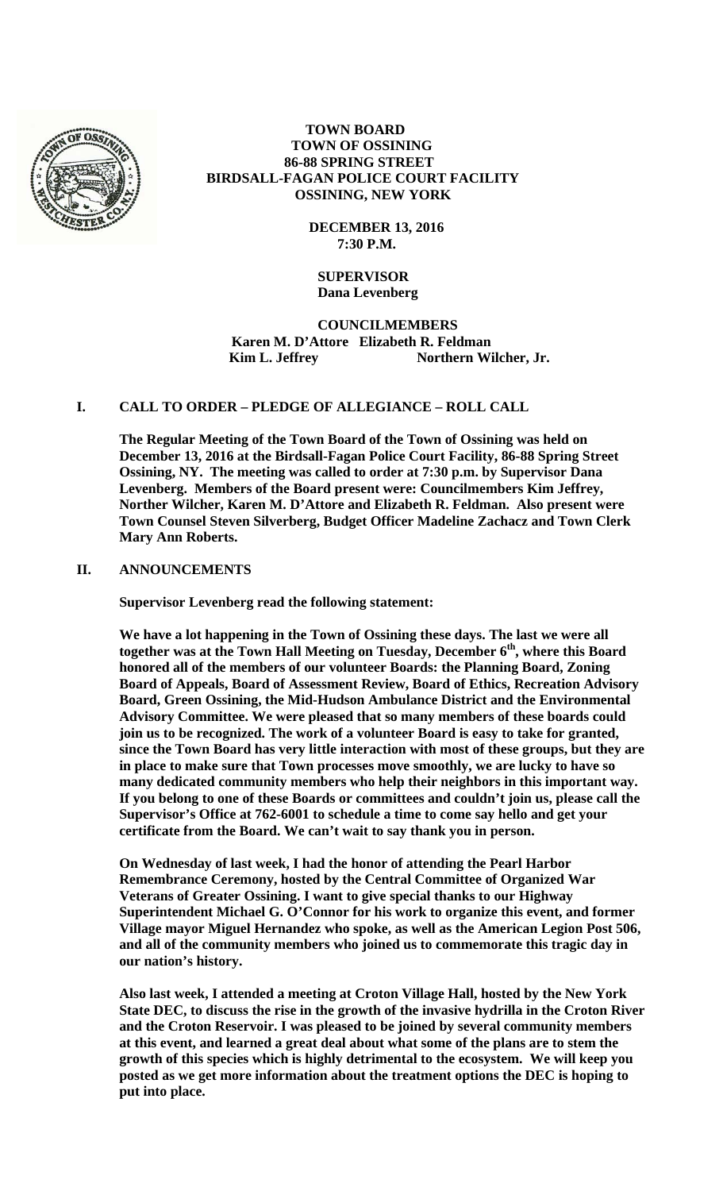

# **TOWN BOARD TOWN OF OSSINING 86-88 SPRING STREET BIRDSALL-FAGAN POLICE COURT FACILITY OSSINING, NEW YORK**

 **DECEMBER 13, 2016 7:30 P.M.** 

# **SUPERVISOR Dana Levenberg**

 **COUNCILMEMBERS Karen M. D'Attore Elizabeth R. Feldman Kim L. Jeffrey Northern Wilcher, Jr.** 

# **I. CALL TO ORDER – PLEDGE OF ALLEGIANCE – ROLL CALL**

**The Regular Meeting of the Town Board of the Town of Ossining was held on December 13, 2016 at the Birdsall-Fagan Police Court Facility, 86-88 Spring Street Ossining, NY. The meeting was called to order at 7:30 p.m. by Supervisor Dana Levenberg. Members of the Board present were: Councilmembers Kim Jeffrey, Norther Wilcher, Karen M. D'Attore and Elizabeth R. Feldman. Also present were Town Counsel Steven Silverberg, Budget Officer Madeline Zachacz and Town Clerk Mary Ann Roberts.** 

### **II. ANNOUNCEMENTS**

**Supervisor Levenberg read the following statement:** 

**We have a lot happening in the Town of Ossining these days. The last we were all**  together was at the Town Hall Meeting on Tuesday, December 6<sup>th</sup>, where this Board **honored all of the members of our volunteer Boards: the Planning Board, Zoning Board of Appeals, Board of Assessment Review, Board of Ethics, Recreation Advisory Board, Green Ossining, the Mid-Hudson Ambulance District and the Environmental Advisory Committee. We were pleased that so many members of these boards could join us to be recognized. The work of a volunteer Board is easy to take for granted, since the Town Board has very little interaction with most of these groups, but they are in place to make sure that Town processes move smoothly, we are lucky to have so many dedicated community members who help their neighbors in this important way. If you belong to one of these Boards or committees and couldn't join us, please call the Supervisor's Office at 762-6001 to schedule a time to come say hello and get your certificate from the Board. We can't wait to say thank you in person.** 

**On Wednesday of last week, I had the honor of attending the Pearl Harbor Remembrance Ceremony, hosted by the Central Committee of Organized War Veterans of Greater Ossining. I want to give special thanks to our Highway Superintendent Michael G. O'Connor for his work to organize this event, and former Village mayor Miguel Hernandez who spoke, as well as the American Legion Post 506, and all of the community members who joined us to commemorate this tragic day in our nation's history.** 

**Also last week, I attended a meeting at Croton Village Hall, hosted by the New York State DEC, to discuss the rise in the growth of the invasive hydrilla in the Croton River and the Croton Reservoir. I was pleased to be joined by several community members at this event, and learned a great deal about what some of the plans are to stem the growth of this species which is highly detrimental to the ecosystem. We will keep you posted as we get more information about the treatment options the DEC is hoping to put into place.**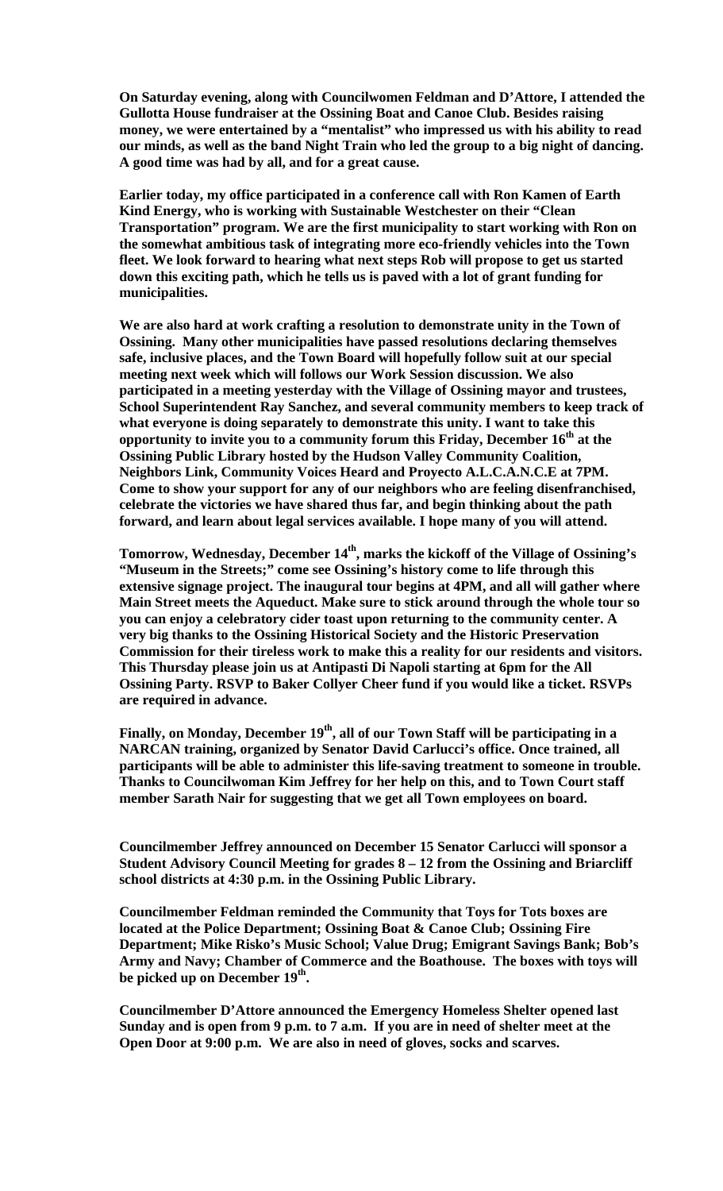**On Saturday evening, along with Councilwomen Feldman and D'Attore, I attended the Gullotta House fundraiser at the Ossining Boat and Canoe Club. Besides raising**  money, we were entertained by a "mentalist" who impressed us with his ability to read **our minds, as well as the band Night Train who led the group to a big night of dancing. A good time was had by all, and for a great cause.** 

**Earlier today, my office participated in a conference call with Ron Kamen of Earth Kind Energy, who is working with Sustainable Westchester on their "Clean Transportation" program. We are the first municipality to start working with Ron on the somewhat ambitious task of integrating more eco-friendly vehicles into the Town fleet. We look forward to hearing what next steps Rob will propose to get us started down this exciting path, which he tells us is paved with a lot of grant funding for municipalities.** 

**We are also hard at work crafting a resolution to demonstrate unity in the Town of Ossining. Many other municipalities have passed resolutions declaring themselves safe, inclusive places, and the Town Board will hopefully follow suit at our special meeting next week which will follows our Work Session discussion. We also participated in a meeting yesterday with the Village of Ossining mayor and trustees, School Superintendent Ray Sanchez, and several community members to keep track of what everyone is doing separately to demonstrate this unity. I want to take this opportunity to invite you to a community forum this Friday, December 16th at the Ossining Public Library hosted by the Hudson Valley Community Coalition, Neighbors Link, Community Voices Heard and Proyecto A.L.C.A.N.C.E at 7PM. Come to show your support for any of our neighbors who are feeling disenfranchised, celebrate the victories we have shared thus far, and begin thinking about the path forward, and learn about legal services available. I hope many of you will attend.** 

Tomorrow, Wednesday, December 14<sup>th</sup>, marks the kickoff of the Village of Ossining's **"Museum in the Streets;" come see Ossining's history come to life through this extensive signage project. The inaugural tour begins at 4PM, and all will gather where Main Street meets the Aqueduct. Make sure to stick around through the whole tour so you can enjoy a celebratory cider toast upon returning to the community center. A very big thanks to the Ossining Historical Society and the Historic Preservation Commission for their tireless work to make this a reality for our residents and visitors. This Thursday please join us at Antipasti Di Napoli starting at 6pm for the All Ossining Party. RSVP to Baker Collyer Cheer fund if you would like a ticket. RSVPs are required in advance.** 

**Finally, on Monday, December 19th, all of our Town Staff will be participating in a NARCAN training, organized by Senator David Carlucci's office. Once trained, all participants will be able to administer this life-saving treatment to someone in trouble. Thanks to Councilwoman Kim Jeffrey for her help on this, and to Town Court staff member Sarath Nair for suggesting that we get all Town employees on board.** 

**Councilmember Jeffrey announced on December 15 Senator Carlucci will sponsor a Student Advisory Council Meeting for grades 8 – 12 from the Ossining and Briarcliff school districts at 4:30 p.m. in the Ossining Public Library.** 

**Councilmember Feldman reminded the Community that Toys for Tots boxes are located at the Police Department; Ossining Boat & Canoe Club; Ossining Fire Department; Mike Risko's Music School; Value Drug; Emigrant Savings Bank; Bob's Army and Navy; Chamber of Commerce and the Boathouse. The boxes with toys will be picked up on December 19th.** 

**Councilmember D'Attore announced the Emergency Homeless Shelter opened last Sunday and is open from 9 p.m. to 7 a.m. If you are in need of shelter meet at the Open Door at 9:00 p.m. We are also in need of gloves, socks and scarves.**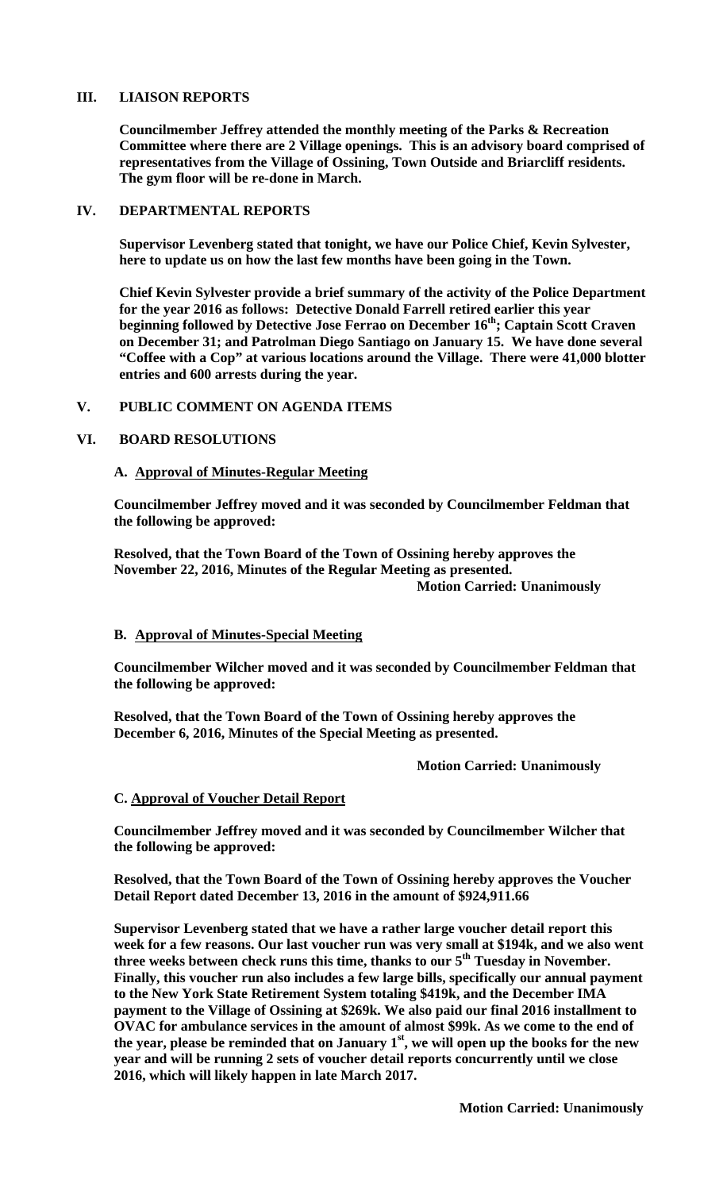# **III. LIAISON REPORTS**

**Councilmember Jeffrey attended the monthly meeting of the Parks & Recreation Committee where there are 2 Village openings. This is an advisory board comprised of representatives from the Village of Ossining, Town Outside and Briarcliff residents. The gym floor will be re-done in March.** 

# **IV. DEPARTMENTAL REPORTS**

**Supervisor Levenberg stated that tonight, we have our Police Chief, Kevin Sylvester, here to update us on how the last few months have been going in the Town.** 

**Chief Kevin Sylvester provide a brief summary of the activity of the Police Department for the year 2016 as follows: Detective Donald Farrell retired earlier this year beginning followed by Detective Jose Ferrao on December 16<sup>th</sup>; Captain Scott Craven on December 31; and Patrolman Diego Santiago on January 15. We have done several "Coffee with a Cop" at various locations around the Village. There were 41,000 blotter entries and 600 arrests during the year.** 

# **V. PUBLIC COMMENT ON AGENDA ITEMS**

# **VI. BOARD RESOLUTIONS**

# **A. Approval of Minutes-Regular Meeting**

**Councilmember Jeffrey moved and it was seconded by Councilmember Feldman that the following be approved:** 

**Resolved, that the Town Board of the Town of Ossining hereby approves the November 22, 2016, Minutes of the Regular Meeting as presented. Motion Carried: Unanimously** 

# **B. Approval of Minutes-Special Meeting**

**Councilmember Wilcher moved and it was seconded by Councilmember Feldman that the following be approved:** 

**Resolved, that the Town Board of the Town of Ossining hereby approves the December 6, 2016, Minutes of the Special Meeting as presented.** 

 **Motion Carried: Unanimously** 

# **C. Approval of Voucher Detail Report**

**Councilmember Jeffrey moved and it was seconded by Councilmember Wilcher that the following be approved:** 

**Resolved, that the Town Board of the Town of Ossining hereby approves the Voucher Detail Report dated December 13, 2016 in the amount of \$924,911.66** 

**Supervisor Levenberg stated that we have a rather large voucher detail report this week for a few reasons. Our last voucher run was very small at \$194k, and we also went three weeks between check runs this time, thanks to our 5th Tuesday in November. Finally, this voucher run also includes a few large bills, specifically our annual payment to the New York State Retirement System totaling \$419k, and the December IMA payment to the Village of Ossining at \$269k. We also paid our final 2016 installment to OVAC for ambulance services in the amount of almost \$99k. As we come to the end of the year, please be reminded that on January 1st, we will open up the books for the new year and will be running 2 sets of voucher detail reports concurrently until we close 2016, which will likely happen in late March 2017.**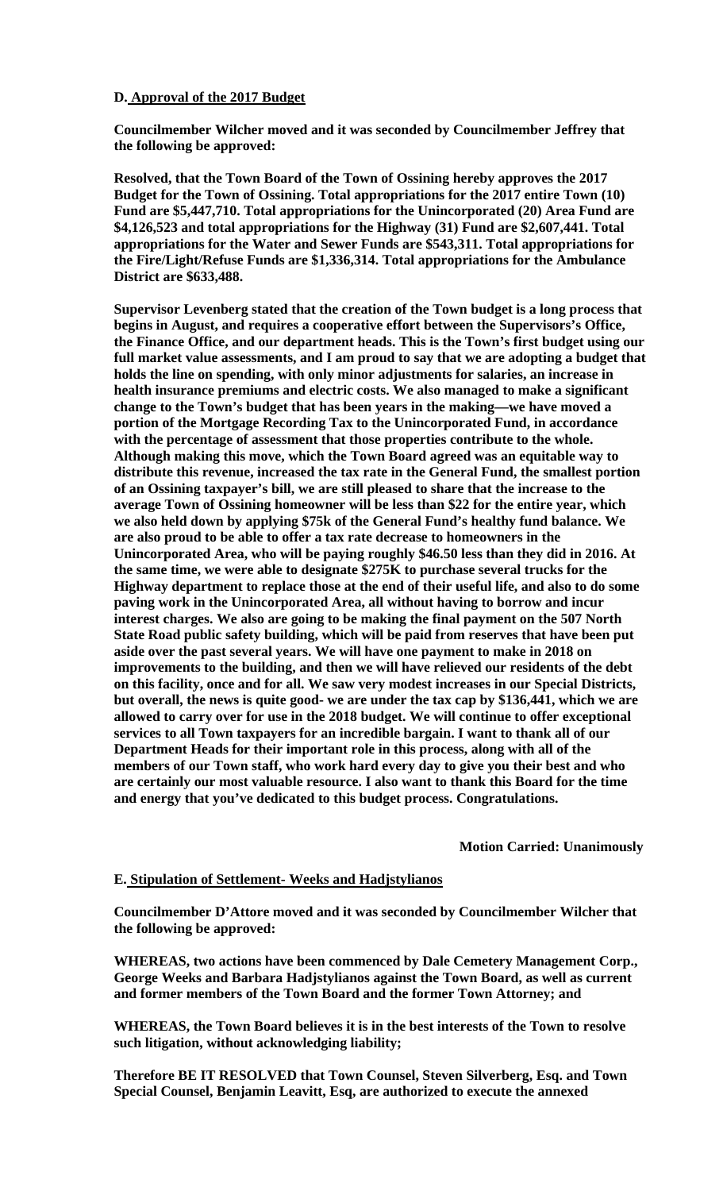# **D. Approval of the 2017 Budget**

**Councilmember Wilcher moved and it was seconded by Councilmember Jeffrey that the following be approved:** 

**Resolved, that the Town Board of the Town of Ossining hereby approves the 2017 Budget for the Town of Ossining. Total appropriations for the 2017 entire Town (10) Fund are \$5,447,710. Total appropriations for the Unincorporated (20) Area Fund are \$4,126,523 and total appropriations for the Highway (31) Fund are \$2,607,441. Total appropriations for the Water and Sewer Funds are \$543,311. Total appropriations for the Fire/Light/Refuse Funds are \$1,336,314. Total appropriations for the Ambulance District are \$633,488.** 

**Supervisor Levenberg stated that the creation of the Town budget is a long process that begins in August, and requires a cooperative effort between the Supervisors's Office, the Finance Office, and our department heads. This is the Town's first budget using our full market value assessments, and I am proud to say that we are adopting a budget that holds the line on spending, with only minor adjustments for salaries, an increase in health insurance premiums and electric costs. We also managed to make a significant change to the Town's budget that has been years in the making—we have moved a portion of the Mortgage Recording Tax to the Unincorporated Fund, in accordance with the percentage of assessment that those properties contribute to the whole. Although making this move, which the Town Board agreed was an equitable way to distribute this revenue, increased the tax rate in the General Fund, the smallest portion of an Ossining taxpayer's bill, we are still pleased to share that the increase to the average Town of Ossining homeowner will be less than \$22 for the entire year, which we also held down by applying \$75k of the General Fund's healthy fund balance. We are also proud to be able to offer a tax rate decrease to homeowners in the Unincorporated Area, who will be paying roughly \$46.50 less than they did in 2016. At the same time, we were able to designate \$275K to purchase several trucks for the Highway department to replace those at the end of their useful life, and also to do some paving work in the Unincorporated Area, all without having to borrow and incur interest charges. We also are going to be making the final payment on the 507 North State Road public safety building, which will be paid from reserves that have been put aside over the past several years. We will have one payment to make in 2018 on improvements to the building, and then we will have relieved our residents of the debt on this facility, once and for all. We saw very modest increases in our Special Districts, but overall, the news is quite good- we are under the tax cap by \$136,441, which we are allowed to carry over for use in the 2018 budget. We will continue to offer exceptional services to all Town taxpayers for an incredible bargain. I want to thank all of our Department Heads for their important role in this process, along with all of the members of our Town staff, who work hard every day to give you their best and who are certainly our most valuable resource. I also want to thank this Board for the time and energy that you've dedicated to this budget process. Congratulations.** 

 **Motion Carried: Unanimously** 

### **E. Stipulation of Settlement- Weeks and Hadjstylianos**

**Councilmember D'Attore moved and it was seconded by Councilmember Wilcher that the following be approved:** 

**WHEREAS, two actions have been commenced by Dale Cemetery Management Corp., George Weeks and Barbara Hadjstylianos against the Town Board, as well as current and former members of the Town Board and the former Town Attorney; and** 

**WHEREAS, the Town Board believes it is in the best interests of the Town to resolve such litigation, without acknowledging liability;** 

**Therefore BE IT RESOLVED that Town Counsel, Steven Silverberg, Esq. and Town Special Counsel, Benjamin Leavitt, Esq, are authorized to execute the annexed**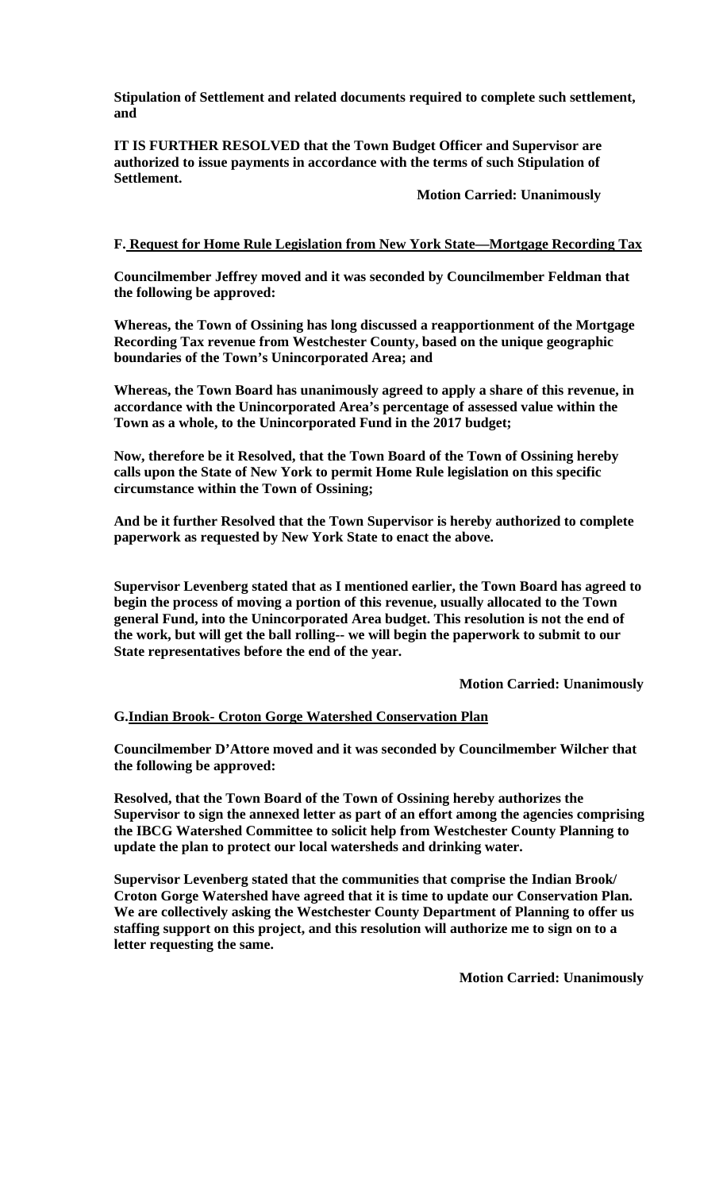**Stipulation of Settlement and related documents required to complete such settlement, and** 

**IT IS FURTHER RESOLVED that the Town Budget Officer and Supervisor are authorized to issue payments in accordance with the terms of such Stipulation of Settlement.** 

 **Motion Carried: Unanimously** 

# **F. Request for Home Rule Legislation from New York State—Mortgage Recording Tax**

**Councilmember Jeffrey moved and it was seconded by Councilmember Feldman that the following be approved:** 

**Whereas, the Town of Ossining has long discussed a reapportionment of the Mortgage Recording Tax revenue from Westchester County, based on the unique geographic boundaries of the Town's Unincorporated Area; and** 

**Whereas, the Town Board has unanimously agreed to apply a share of this revenue, in accordance with the Unincorporated Area's percentage of assessed value within the Town as a whole, to the Unincorporated Fund in the 2017 budget;** 

**Now, therefore be it Resolved, that the Town Board of the Town of Ossining hereby calls upon the State of New York to permit Home Rule legislation on this specific circumstance within the Town of Ossining;** 

**And be it further Resolved that the Town Supervisor is hereby authorized to complete paperwork as requested by New York State to enact the above.** 

**Supervisor Levenberg stated that as I mentioned earlier, the Town Board has agreed to begin the process of moving a portion of this revenue, usually allocated to the Town general Fund, into the Unincorporated Area budget. This resolution is not the end of the work, but will get the ball rolling-- we will begin the paperwork to submit to our State representatives before the end of the year.** 

 **Motion Carried: Unanimously** 

### **G.Indian Brook- Croton Gorge Watershed Conservation Plan**

**Councilmember D'Attore moved and it was seconded by Councilmember Wilcher that the following be approved:** 

**Resolved, that the Town Board of the Town of Ossining hereby authorizes the Supervisor to sign the annexed letter as part of an effort among the agencies comprising the IBCG Watershed Committee to solicit help from Westchester County Planning to update the plan to protect our local watersheds and drinking water.** 

**Supervisor Levenberg stated that the communities that comprise the Indian Brook/ Croton Gorge Watershed have agreed that it is time to update our Conservation Plan. We are collectively asking the Westchester County Department of Planning to offer us staffing support on this project, and this resolution will authorize me to sign on to a letter requesting the same.** 

 **Motion Carried: Unanimously**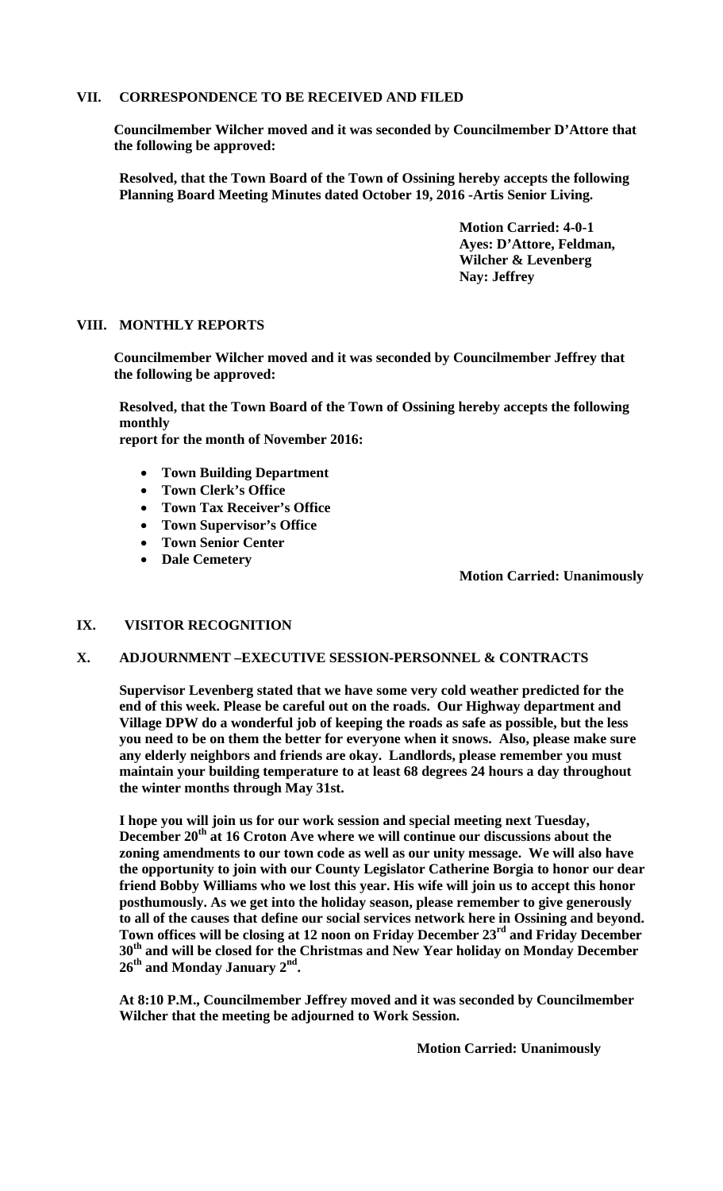# **VII. CORRESPONDENCE TO BE RECEIVED AND FILED**

**Councilmember Wilcher moved and it was seconded by Councilmember D'Attore that the following be approved:** 

**Resolved, that the Town Board of the Town of Ossining hereby accepts the following Planning Board Meeting Minutes dated October 19, 2016 -Artis Senior Living.** 

> **Motion Carried: 4-0-1 Ayes: D'Attore, Feldman, Wilcher & Levenberg Nay: Jeffrey**

# **VIII. MONTHLY REPORTS**

**Councilmember Wilcher moved and it was seconded by Councilmember Jeffrey that the following be approved:** 

**Resolved, that the Town Board of the Town of Ossining hereby accepts the following monthly** 

**report for the month of November 2016:** 

- **Town Building Department**
- **Town Clerk's Office**
- **Town Tax Receiver's Office**
- **Town Supervisor's Office**
- **Town Senior Center**
- **Dale Cemetery**

 **Motion Carried: Unanimously**

# **IX. VISITOR RECOGNITION**

# **X. ADJOURNMENT –EXECUTIVE SESSION-PERSONNEL & CONTRACTS**

**Supervisor Levenberg stated that we have some very cold weather predicted for the end of this week. Please be careful out on the roads. Our Highway department and Village DPW do a wonderful job of keeping the roads as safe as possible, but the less you need to be on them the better for everyone when it snows. Also, please make sure any elderly neighbors and friends are okay. Landlords, please remember you must maintain your building temperature to at least 68 degrees 24 hours a day throughout the winter months through May 31st.** 

**I hope you will join us for our work session and special meeting next Tuesday,**  December 20<sup>th</sup> at 16 Croton Ave where we will continue our discussions about the **zoning amendments to our town code as well as our unity message. We will also have the opportunity to join with our County Legislator Catherine Borgia to honor our dear friend Bobby Williams who we lost this year. His wife will join us to accept this honor posthumously. As we get into the holiday season, please remember to give generously to all of the causes that define our social services network here in Ossining and beyond. Town offices will be closing at 12 noon on Friday December 23rd and Friday December 30th and will be closed for the Christmas and New Year holiday on Monday December 26th and Monday January 2nd.** 

**At 8:10 P.M., Councilmember Jeffrey moved and it was seconded by Councilmember Wilcher that the meeting be adjourned to Work Session.** 

**Motion Carried: Unanimously**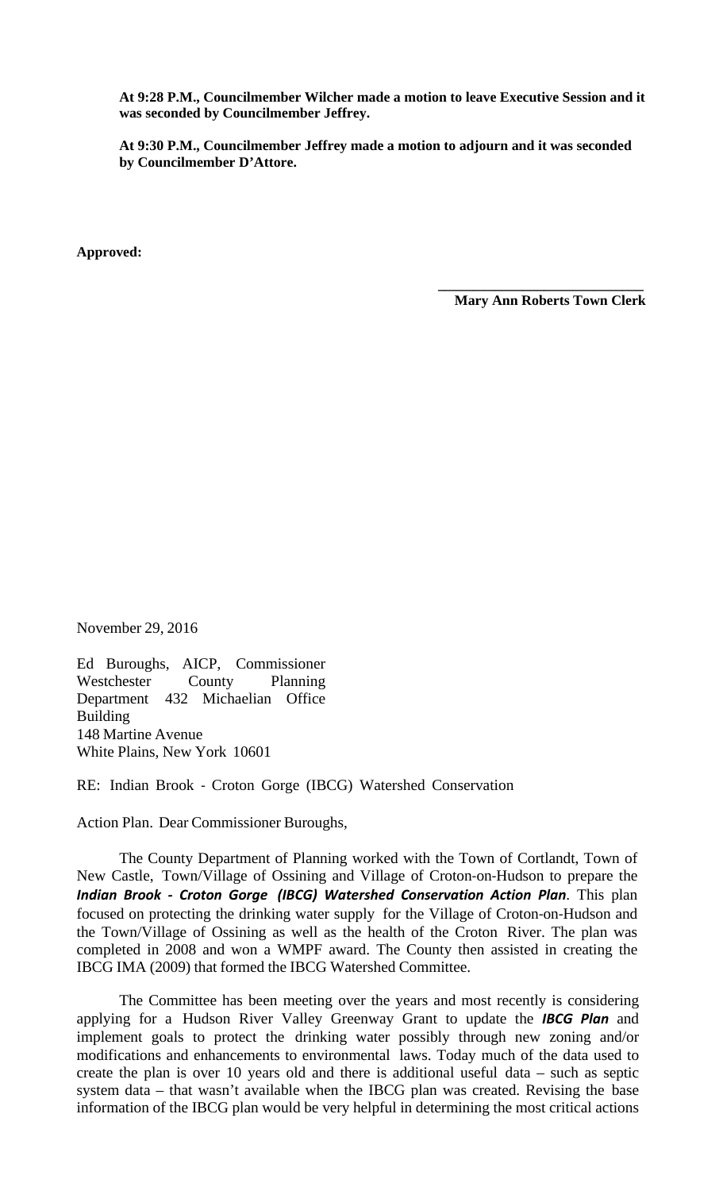**At 9:28 P.M., Councilmember Wilcher made a motion to leave Executive Session and it was seconded by Councilmember Jeffrey.** 

**At 9:30 P.M., Councilmember Jeffrey made a motion to adjourn and it was seconded by Councilmember D'Attore.** 

**Approved:** 

 **Mary Ann Roberts Town Clerk** 

 **\_\_\_\_\_\_\_\_\_\_\_\_\_\_\_\_\_\_\_\_\_\_\_\_\_\_\_\_\_** 

November 29, 2016

Ed Buroughs, AICP, Commissioner Westchester County Planning Department 432 Michaelian Office Building 148 Martine Avenue White Plains, New York 10601

RE: Indian Brook ‐ Croton Gorge (IBCG) Watershed Conservation

Action Plan. Dear Commissioner Buroughs,

The County Department of Planning worked with the Town of Cortlandt, Town of New Castle, Town/Village of Ossining and Village of Croton‐on‐Hudson to prepare the *Indian Brook ‐ Croton Gorge (IBCG) Watershed Conservation Action Plan*. This plan focused on protecting the drinking water supply for the Village of Croton‐on‐Hudson and the Town/Village of Ossining as well as the health of the Croton River. The plan was completed in 2008 and won a WMPF award. The County then assisted in creating the IBCG IMA (2009) that formed the IBCG Watershed Committee.

The Committee has been meeting over the years and most recently is considering applying for a Hudson River Valley Greenway Grant to update the *IBCG Plan* and implement goals to protect the drinking water possibly through new zoning and/or modifications and enhancements to environmental laws. Today much of the data used to create the plan is over 10 years old and there is additional useful data – such as septic system data – that wasn't available when the IBCG plan was created. Revising the base information of the IBCG plan would be very helpful in determining the most critical actions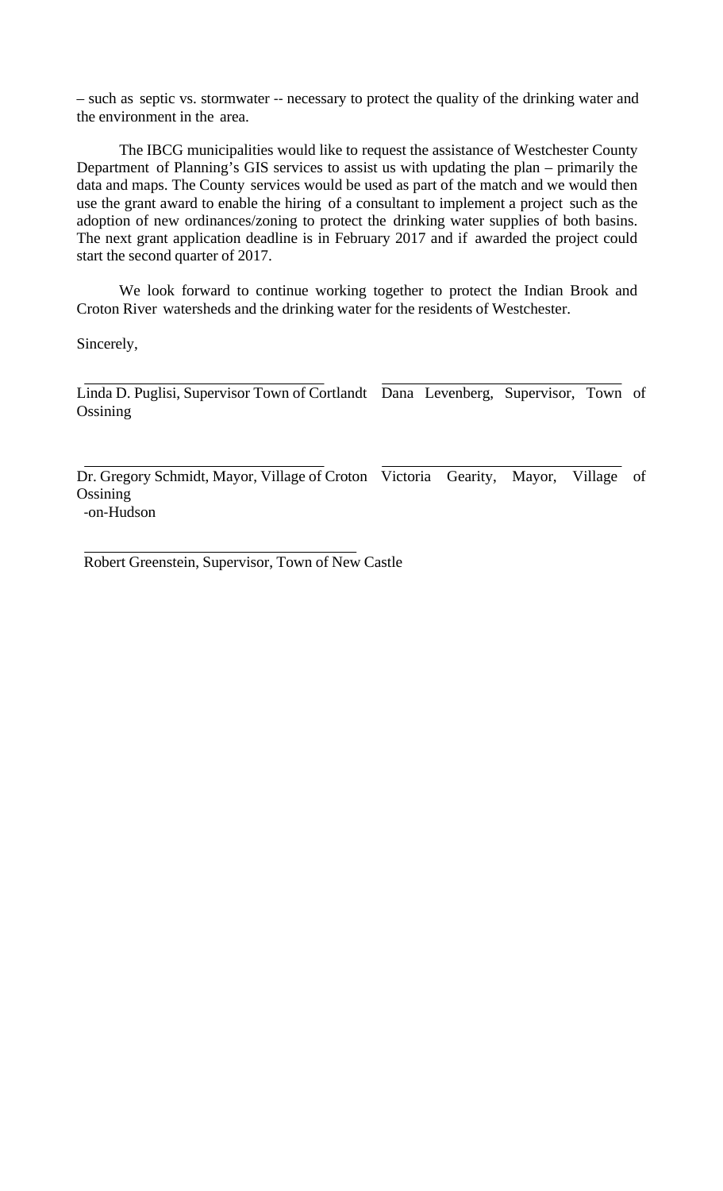– such as septic vs. stormwater ‐‐ necessary to protect the quality of the drinking water and the environment in the area.

The IBCG municipalities would like to request the assistance of Westchester County Department of Planning's GIS services to assist us with updating the plan – primarily the data and maps. The County services would be used as part of the match and we would then use the grant award to enable the hiring of a consultant to implement a project such as the adoption of new ordinances/zoning to protect the drinking water supplies of both basins. The next grant application deadline is in February 2017 and if awarded the project could start the second quarter of 2017.

We look forward to continue working together to protect the Indian Brook and Croton River watersheds and the drinking water for the residents of Westchester.

Sincerely,

Linda D. Puglisi, Supervisor Town of Cortlandt Dana Levenberg, Supervisor, Town of **Ossining** 

Dr. Gregory Schmidt, Mayor, Village of Croton Victoria Gearity, Mayor, Village of **Ossining** ‐on‐Hudson

Robert Greenstein, Supervisor, Town of New Castle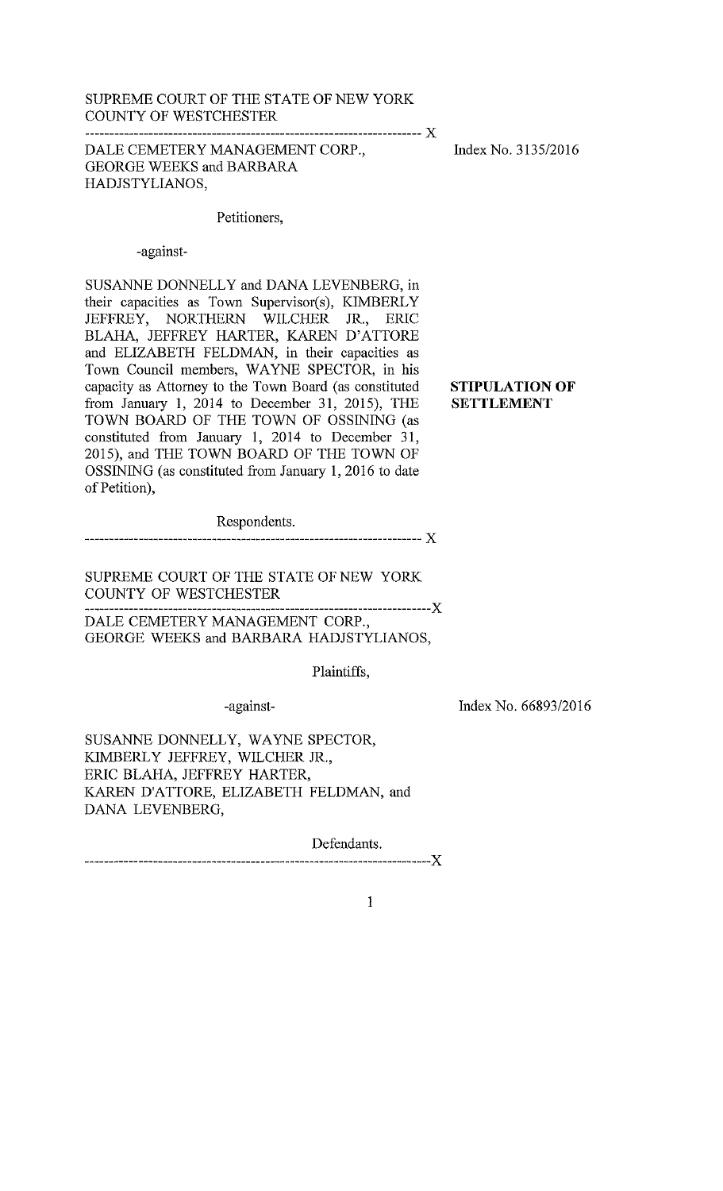### SUPREME COURT OF THE STATE OF NEW YORK COUNTY OF WESTCHESTER

DALE CEMETERY MANAGEMENT CORP., **GEORGE WEEKS and BARBARA** HADJSTYLIANOS,

Index No. 3135/2016

**STIPULATION OF** 

**SETTLEMENT** 

# Petitioners,

-against-

SUSANNE DONNELLY and DANA LEVENBERG, in their capacities as Town Supervisor(s), KIMBERLY JEFFREY, NORTHERN WILCHER JR., ERIC BLAHA, JEFFREY HARTER, KAREN D'ATTORE and ELIZABETH FELDMAN, in their capacities as Town Council members, WAYNE SPECTOR, in his capacity as Attorney to the Town Board (as constituted from January 1, 2014 to December 31, 2015), THE TOWN BOARD OF THE TOWN OF OSSINING (as constituted from January 1, 2014 to December 31, 2015), and THE TOWN BOARD OF THE TOWN OF OSSINING (as constituted from January 1, 2016 to date of Petition),

Respondents.

SUPREME COURT OF THE STATE OF NEW YORK COUNTY OF WESTCHESTER .<mark>................</mark>X

DALE CEMETERY MANAGEMENT CORP., GEORGE WEEKS and BARBARA HADJSTYLIANOS,

Plaintiffs.

-against-

Index No. 66893/2016

SUSANNE DONNELLY, WAYNE SPECTOR, KIMBERLY JEFFREY, WILCHER JR., ERIC BLAHA, JEFFREY HARTER, KAREN D'ATTORE, ELIZABETH FELDMAN, and DANA LEVENBERG,

Defendants. 

 $\mathbf{1}$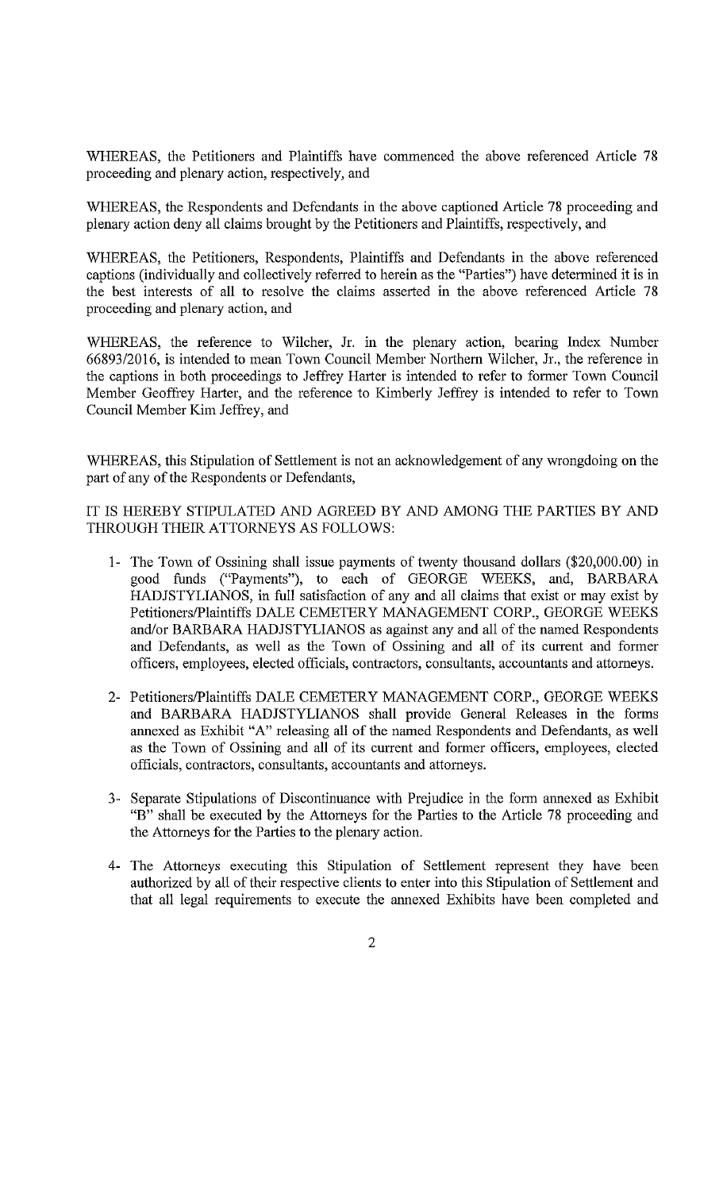WHEREAS, the Petitioners and Plaintiffs have commenced the above referenced Article 78 proceeding and plenary action, respectively, and

WHEREAS, the Respondents and Defendants in the above captioned Article 78 proceeding and plenary action deny all claims brought by the Petitioners and Plaintiffs, respectively, and

WHEREAS, the Petitioners, Respondents, Plaintiffs and Defendants in the above referenced captions (individually and collectively referred to herein as the "Parties") have determined it is in the best interests of all to resolve the claims asserted in the above referenced Article 78 proceeding and plenary action, and

WHEREAS, the reference to Wilcher, Jr. in the plenary action, bearing Index Number 66893/2016, is intended to mean Town Council Member Northern Wilcher, Jr., the reference in the captions in both proceedings to Jeffrey Harter is intended to refer to former Town Council Member Geoffrey Harter, and the reference to Kimberly Jeffrey is intended to refer to Town Council Member Kim Jeffrey, and

WHEREAS, this Stipulation of Settlement is not an acknowledgement of any wrongdoing on the part of any of the Respondents or Defendants,

IT IS HEREBY STIPULATED AND AGREED BY AND AMONG THE PARTIES BY AND THROUGH THEIR ATTORNEYS AS FOLLOWS:

- 1- The Town of Ossining shall issue payments of twenty thousand dollars (\$20,000.00) in good funds ("Payments"), to each of GEORGE WEEKS, and, BARBARA HADJSTYLIANOS, in full satisfaction of any and all claims that exist or may exist by Petitioners/Plaintiffs DALE CEMETERY MANAGEMENT CORP., GEORGE WEEKS and/or BARBARA HADJSTYLIANOS as against any and all of the named Respondents and Defendants, as well as the Town of Ossining and all of its current and former officers, employees, elected officials, contractors, consultants, accountants and attorneys.
- 2- Petitioners/Plaintiffs DALE CEMETERY MANAGEMENT CORP., GEORGE WEEKS and BARBARA HADJSTYLIANOS shall provide General Releases in the forms annexed as Exhibit "A" releasing all of the named Respondents and Defendants, as well as the Town of Ossining and all of its current and former officers, employees, elected officials, contractors, consultants, accountants and attorneys.
- 3- Separate Stipulations of Discontinuance with Prejudice in the form annexed as Exhibit "B" shall be executed by the Attorneys for the Parties to the Article 78 proceeding and the Attorneys for the Parties to the plenary action.
- 4- The Attorneys executing this Stipulation of Settlement represent they have been authorized by all of their respective clients to enter into this Stipulation of Settlement and that all legal requirements to execute the annexed Exhibits have been completed and
	- $\overline{2}$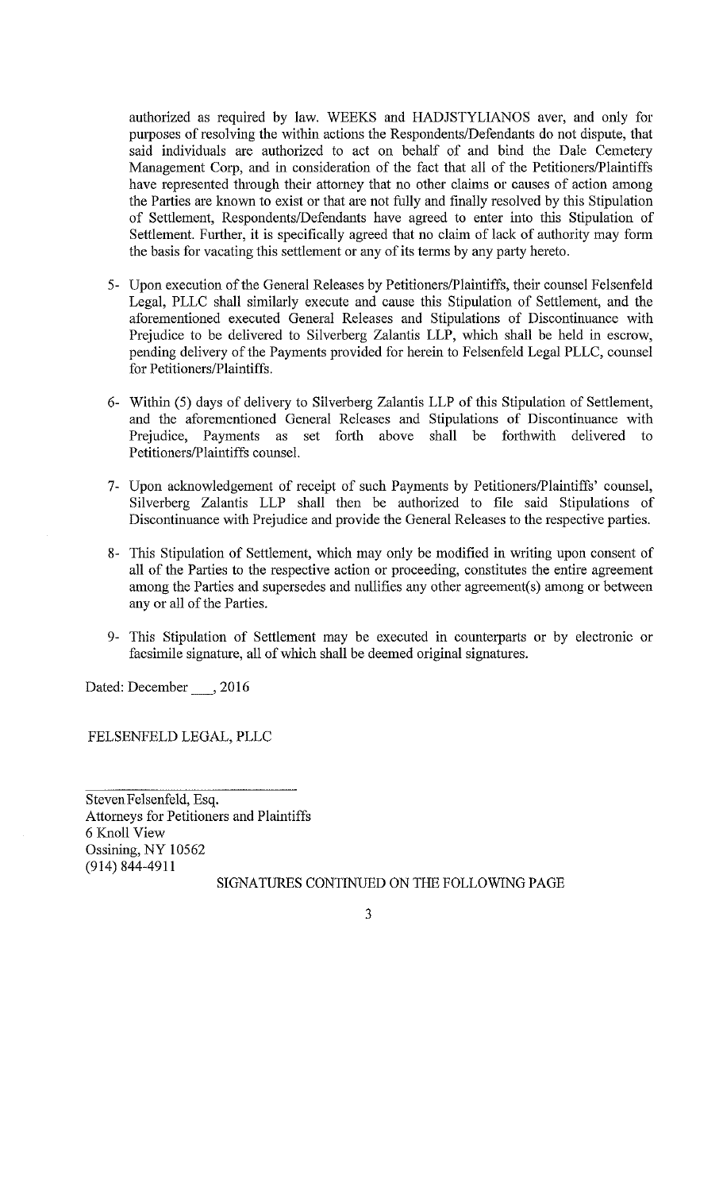authorized as required by law. WEEKS and HADJSTYLIANOS aver, and only for purposes of resolving the within actions the Respondents/Defendants do not dispute, that said individuals are authorized to act on behalf of and bind the Dale Cemetery Management Corp, and in consideration of the fact that all of the Petitioners/Plaintiffs have represented through their attorney that no other claims or causes of action among the Parties are known to exist or that are not fully and finally resolved by this Stipulation of Settlement, Respondents/Defendants have agreed to enter into this Stipulation of Settlement. Further, it is specifically agreed that no claim of lack of authority may form the basis for vacating this settlement or any of its terms by any party hereto.

- 5- Upon execution of the General Releases by Petitioners/Plaintiffs, their counsel Felsenfeld Legal, PLLC shall similarly execute and cause this Stipulation of Settlement, and the aforementioned executed General Releases and Stipulations of Discontinuance with Prejudice to be delivered to Silverberg Zalantis LLP, which shall be held in escrow, pending delivery of the Payments provided for herein to Felsenfeld Legal PLLC, counsel for Petitioners/Plaintiffs.
- 6- Within (5) days of delivery to Silverberg Zalantis LLP of this Stipulation of Settlement, and the aforementioned General Releases and Stipulations of Discontinuance with Prejudice, Payments as set forth above shall be forthwith delivered to Petitioners/Plaintiffs counsel.
- 7- Upon acknowledgement of receipt of such Payments by Petitioners/Plaintiffs' counsel, Silverberg Zalantis LLP shall then be authorized to file said Stipulations of Discontinuance with Prejudice and provide the General Releases to the respective parties.
- 8- This Stipulation of Settlement, which may only be modified in writing upon consent of all of the Parties to the respective action or proceeding, constitutes the entire agreement among the Parties and supersedes and nullifies any other agreement(s) among or between any or all of the Parties.
- 9- This Stipulation of Settlement may be executed in counterparts or by electronic or facsimile signature, all of which shall be deemed original signatures.

Dated: December \_\_\_\_, 2016

FELSENFELD LEGAL, PLLC

Steven Felsenfeld, Esq. Attorneys for Petitioners and Plaintiffs 6 Knoll View Ossining, NY 10562  $(914) 844 - 4911$ 

SIGNATURES CONTINUED ON THE FOLLOWING PAGE

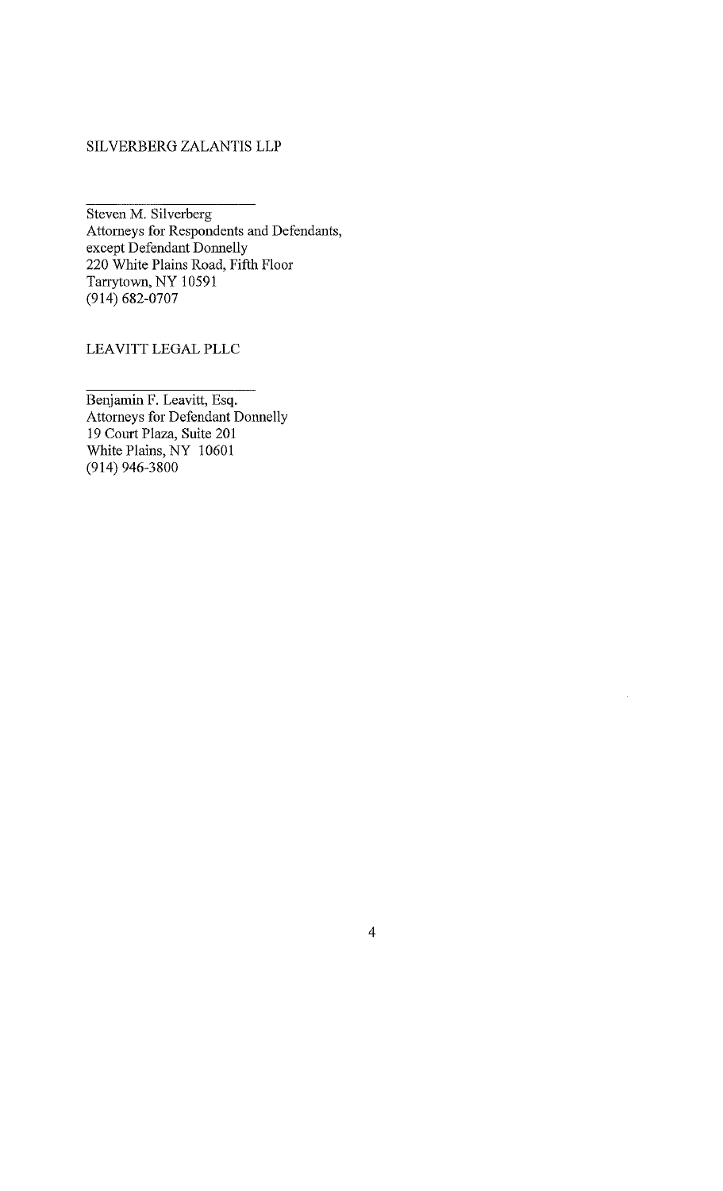# SILVERBERG ZALANTIS LLP

Steven M. Silverberg Attorneys for Respondents and Defendants,<br>except Defendant Donnelly 220 White Plains Road, Fifth Floor Tarrytown, NY 10591  $(914) 682-0707$ 

# LEAVITT LEGAL PLLC

Benjamin F. Leavitt, Esq. Attorneys for Defendant Donnelly 19 Court Plaza, Suite 201 White Plains, NY 10601  $(914)$  946-3800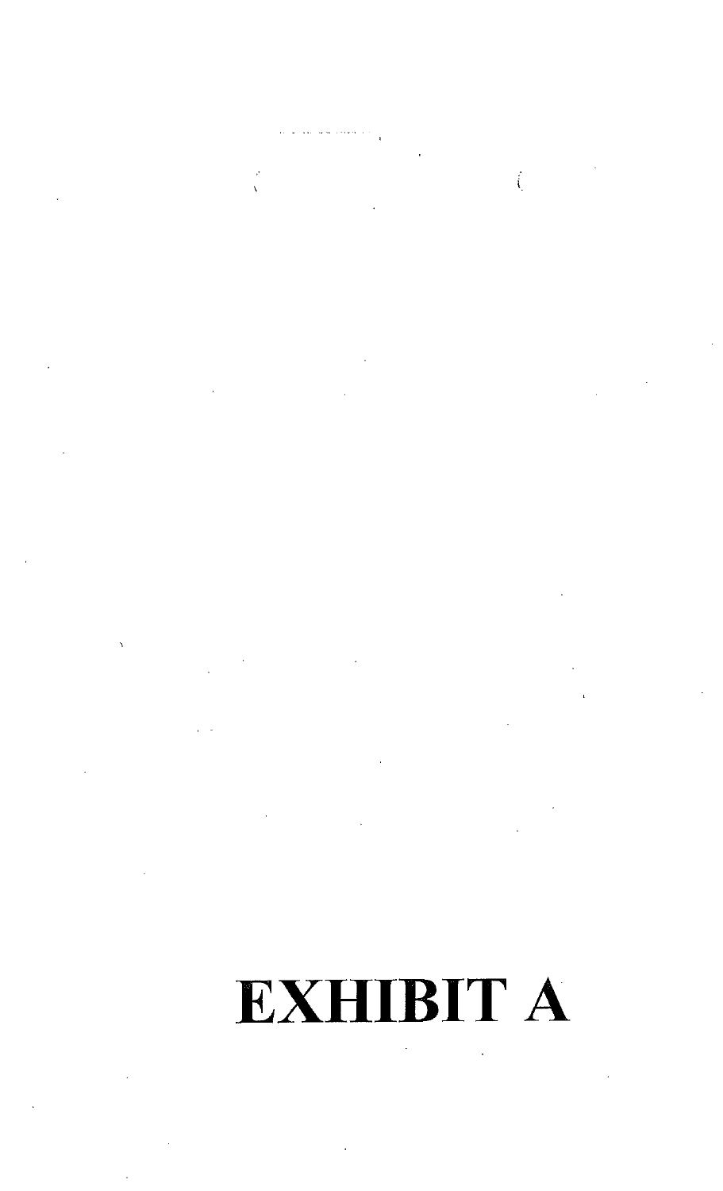$\int_{\mathbb{R}^3}$  $\frac{1}{\sqrt{2}}$ 

 $\mathcal{A}_{\mathcal{A}}$ 

# **EXHIBIT A**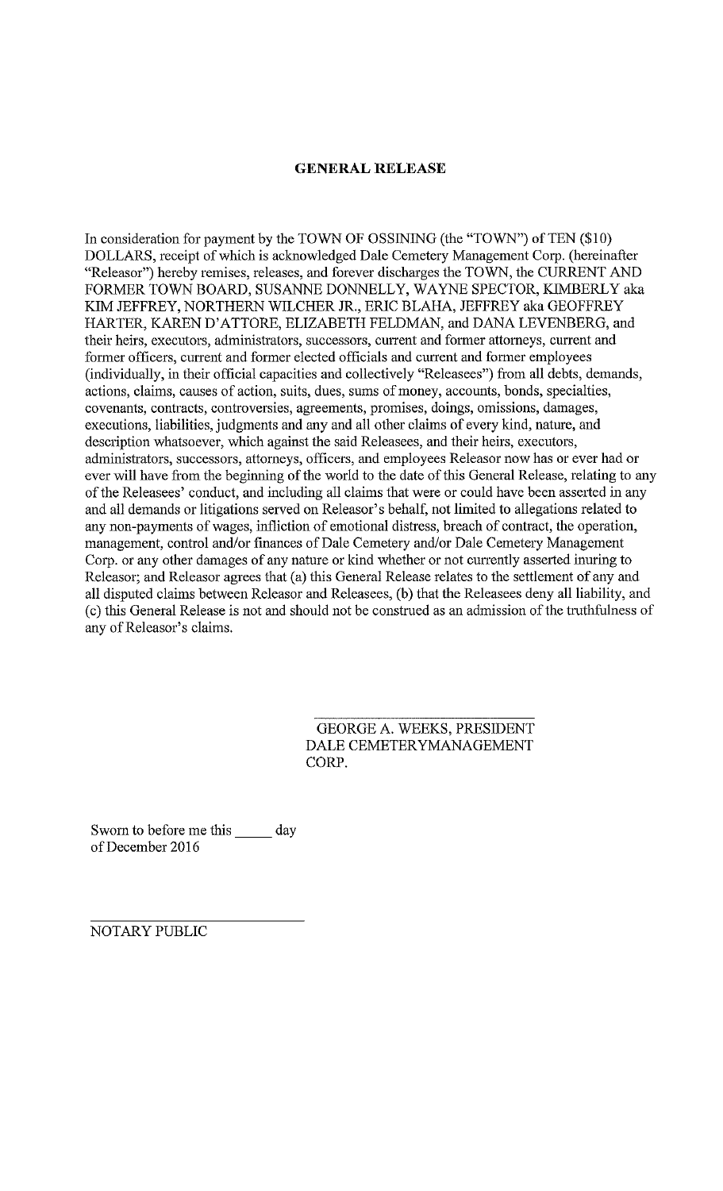## **GENERAL RELEASE**

In consideration for payment by the TOWN OF OSSINING (the "TOWN") of TEN (\$10) DOLLARS, receipt of which is acknowledged Dale Cemetery Management Corp. (hereinafter "Releasor") hereby remises, releases, and forever discharges the TOWN, the CURRENT AND FORMER TOWN BOARD, SUSANNE DONNELLY, WAYNE SPECTOR, KIMBERLY aka KIM JEFFREY, NORTHERN WILCHER JR., ERIC BLAHA, JEFFREY aka GEOFFREY HARTER, KAREN D'ATTORE, ELIZABETH FELDMAN, and DANA LEVENBERG, and their heirs, executors, administrators, successors, current and former attorneys, current and former officers, current and former elected officials and current and former employees (individually, in their official capacities and collectively "Releasees") from all debts, demands, actions, claims, causes of action, suits, dues, sums of money, accounts, bonds, specialties, covenants, contracts, controversies, agreements, promises, doings, omissions, damages, executions, liabilities, judgments and any and all other claims of every kind, nature, and description whatsoever, which against the said Releasees, and their heirs, executors, administrators, successors, attorneys, officers, and employees Releasor now has or ever had or ever will have from the beginning of the world to the date of this General Release, relating to any of the Releasees' conduct, and including all claims that were or could have been asserted in any and all demands or litigations served on Releasor's behalf, not limited to allegations related to any non-payments of wages, infliction of emotional distress, breach of contract, the operation, management, control and/or finances of Dale Cemetery and/or Dale Cemetery Management Corp. or any other damages of any nature or kind whether or not currently asserted inuring to Releasor; and Releasor agrees that (a) this General Release relates to the settlement of any and all disputed claims between Releasor and Releasees, (b) that the Releasees deny all liability, and (c) this General Release is not and should not be construed as an admission of the truthfulness of any of Releasor's claims.

> **GEORGE A. WEEKS, PRESIDENT** DALE CEMETERYMANAGEMENT CORP.

Sworn to before me this \_\_\_\_\_\_ day of December 2016

NOTARY PUBLIC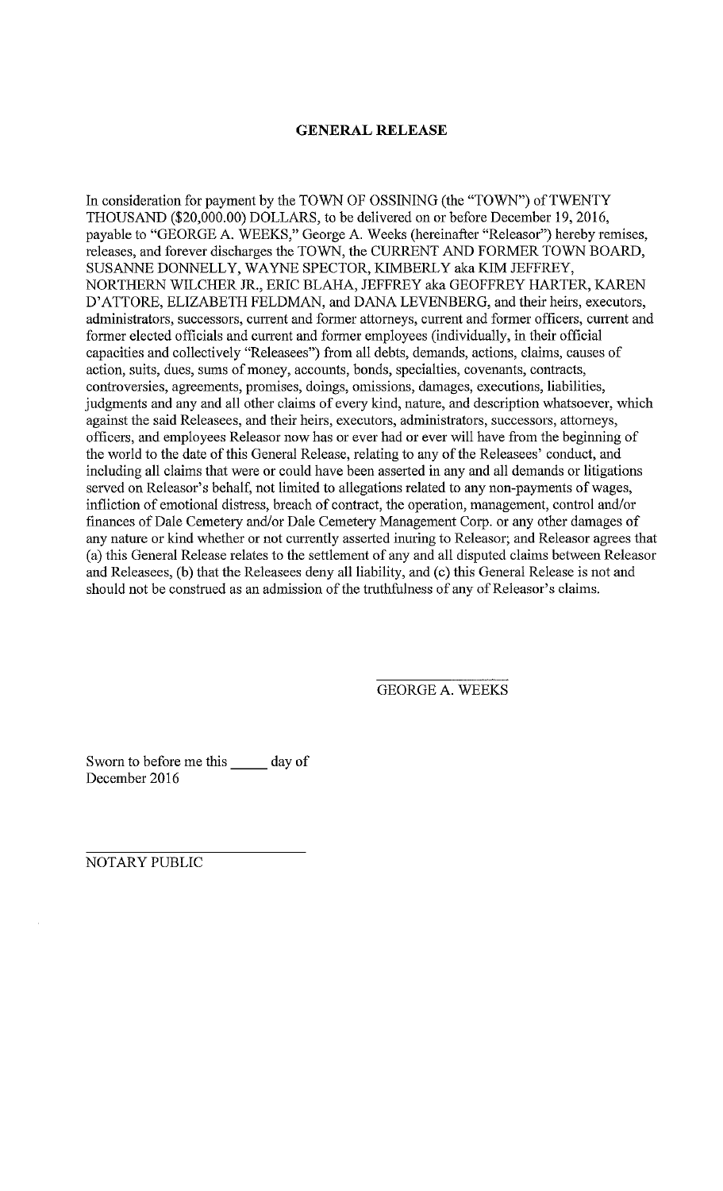# **GENERAL RELEASE**

In consideration for payment by the TOWN OF OSSINING (the "TOWN") of TWENTY THOUSAND (\$20,000.00) DOLLARS, to be delivered on or before December 19, 2016, payable to "GEORGE A. WEEKS," George A. Weeks (hereinafter "Releasor") hereby remises, releases, and forever discharges the TOWN, the CURRENT AND FORMER TOWN BOARD, SUSANNE DONNELLY, WAYNE SPECTOR, KIMBERLY aka KIM JEFFREY, NORTHERN WILCHER JR., ERIC BLAHA, JEFFREY aka GEOFFREY HARTER, KAREN D'ATTORE, ELIZABETH FELDMAN, and DANA LEVENBERG, and their heirs, executors, administrators, successors, current and former attorneys, current and former officers, current and former elected officials and current and former employees (individually, in their official capacities and collectively "Releasees") from all debts, demands, actions, claims, causes of action, suits, dues, sums of money, accounts, bonds, specialties, covenants, contracts, controversies, agreements, promises, doings, omissions, damages, executions, liabilities, judgments and any and all other claims of every kind, nature, and description whatsoever, which against the said Releasees, and their heirs, executors, administrators, successors, attorneys, officers, and employees Releasor now has or ever had or ever will have from the beginning of the world to the date of this General Release, relating to any of the Releasees' conduct, and including all claims that were or could have been asserted in any and all demands or litigations served on Releasor's behalf, not limited to allegations related to any non-payments of wages, infliction of emotional distress, breach of contract, the operation, management, control and/or finances of Dale Cemetery and/or Dale Cemetery Management Corp. or any other damages of any nature or kind whether or not currently asserted inuring to Releasor; and Releasor agrees that (a) this General Release relates to the settlement of any and all disputed claims between Releasor and Releasees, (b) that the Releasees deny all liability, and (c) this General Release is not and should not be construed as an admission of the truthfulness of any of Releasor's claims.

**GEORGE A. WEEKS** 

Sworn to before me this day of December 2016

NOTARY PUBLIC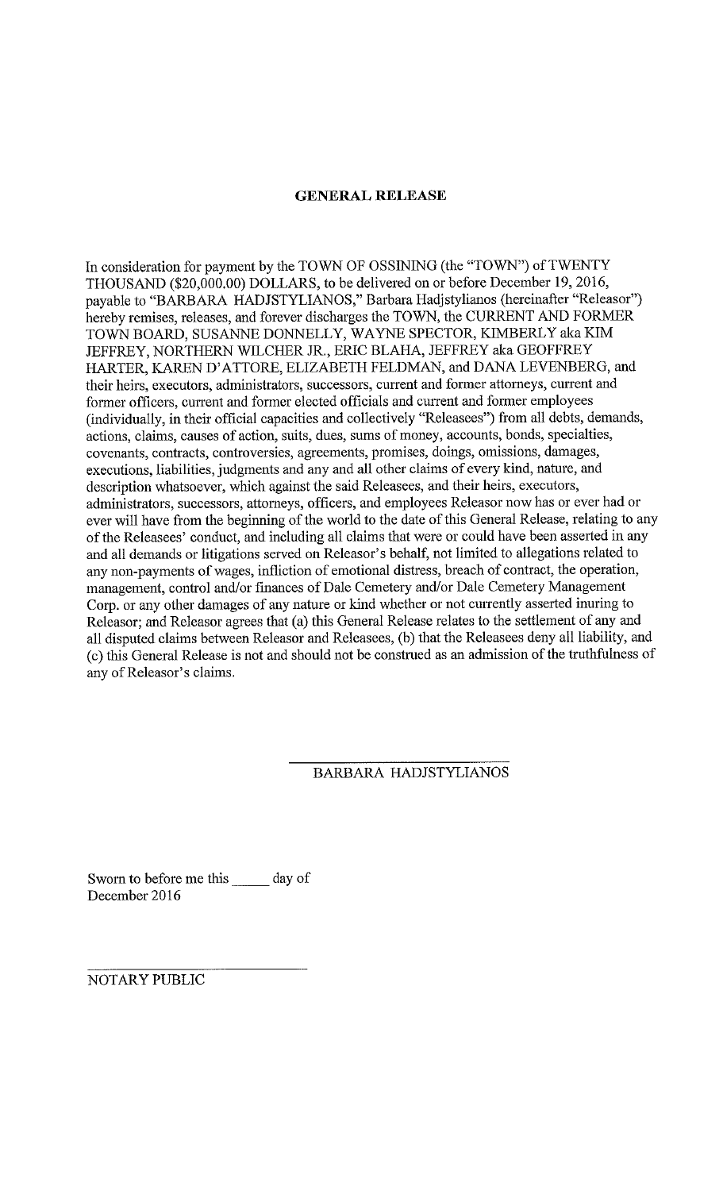# **GENERAL RELEASE**

In consideration for payment by the TOWN OF OSSINING (the "TOWN") of TWENTY THOUSAND (\$20,000.00) DOLLARS, to be delivered on or before December 19, 2016, payable to "BARBARA HADJSTYLIANOS," Barbara Hadjstylianos (hereinafter "Releasor") hereby remises, releases, and forever discharges the TOWN, the CURRENT AND FORMER TOWN BOARD, SUSANNE DONNELLY, WAYNE SPECTOR, KIMBERLY aka KIM JEFFREY, NORTHERN WILCHER JR., ERIC BLAHA, JEFFREY aka GEOFFREY HARTER, KAREN D'ATTORE, ELIZABETH FELDMAN, and DANA LEVENBERG, and their heirs, executors, administrators, successors, current and former attorneys, current and former officers, current and former elected officials and current and former employees (individually, in their official capacities and collectively "Releasees") from all debts, demands, actions, claims, causes of action, suits, dues, sums of money, accounts, bonds, specialties, covenants, contracts, controversies, agreements, promises, doings, omissions, damages, executions, liabilities, judgments and any and all other claims of every kind, nature, and description whatsoever, which against the said Releasees, and their heirs, executors, administrators, successors, attorneys, officers, and employees Releasor now has or ever had or ever will have from the beginning of the world to the date of this General Release, relating to any of the Releasees' conduct, and including all claims that were or could have been asserted in any and all demands or litigations served on Releasor's behalf, not limited to allegations related to any non-payments of wages, infliction of emotional distress, breach of contract, the operation, management, control and/or finances of Dale Cemetery and/or Dale Cemetery Management Corp. or any other damages of any nature or kind whether or not currently asserted inuring to Releasor; and Releasor agrees that (a) this General Release relates to the settlement of any and all disputed claims between Releasor and Releasees, (b) that the Releasees deny all liability, and (c) this General Release is not and should not be construed as an admission of the truthfulness of any of Releasor's claims.

# BARBARA HADJSTYLIANOS

Sworn to before me this \_\_\_\_\_\_ day of December 2016

NOTARY PUBLIC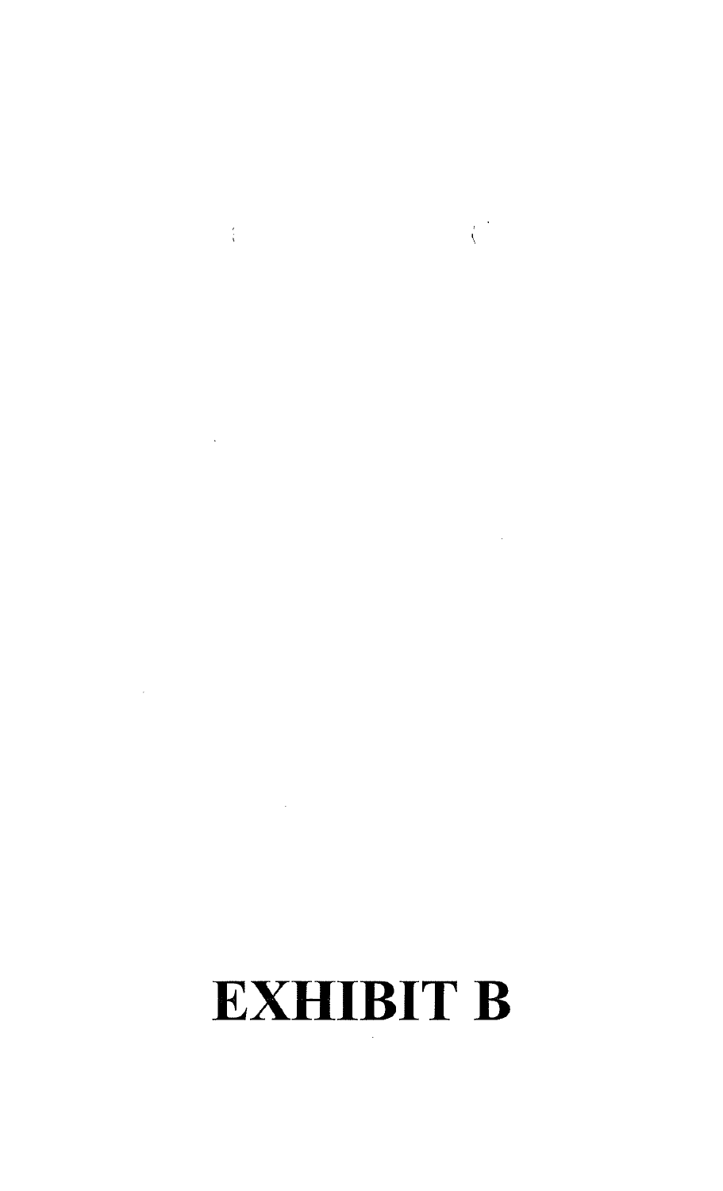# **EXHIBIT B**

 $\label{eq:2.1} \frac{1}{\sqrt{2}}\int_{0}^{\infty}\frac{1}{\sqrt{2\pi}}\left(\frac{1}{\sqrt{2\pi}}\right)^{2\alpha} \frac{1}{\sqrt{2\pi}}\int_{0}^{\infty}\frac{1}{\sqrt{2\pi}}\left(\frac{1}{\sqrt{2\pi}}\right)^{\alpha} \frac{1}{\sqrt{2\pi}}\frac{1}{\sqrt{2\pi}}\int_{0}^{\infty}\frac{1}{\sqrt{2\pi}}\frac{1}{\sqrt{2\pi}}\frac{1}{\sqrt{2\pi}}\frac{1}{\sqrt{2\pi}}\frac{1}{\sqrt{2\pi}}\frac{1}{\sqrt{2\pi}}$ 

 $\label{eq:2} \frac{1}{\sqrt{2\pi}}\sum_{i=1}^N\frac{1}{\sqrt{2\pi}}\int_{0}^{\sqrt{2\pi}}\frac{1}{\sqrt{2\pi}}\frac{dx}{\sqrt{2\pi}}\,dx$ 

 $\mathcal{L}^{\text{max}}_{\text{max}}$  and  $\mathcal{L}^{\text{max}}_{\text{max}}$ 

 $\label{eq:2.1} \frac{1}{2} \int_{\mathbb{R}^3} \frac{1}{\sqrt{2}} \, \frac{1}{\sqrt{2}} \, \frac{1}{\sqrt{2}} \, \frac{1}{\sqrt{2}} \int_{\mathbb{R}^3} \frac{1}{\sqrt{2}} \, \frac{1}{\sqrt{2}} \, \frac{1}{\sqrt{2}} \, \frac{1}{\sqrt{2}} \, \frac{1}{\sqrt{2}} \, \frac{1}{\sqrt{2}} \, \frac{1}{\sqrt{2}} \, \frac{1}{\sqrt{2}} \, \frac{1}{\sqrt{2}} \, \frac{1}{\sqrt{2}} \, \frac{1}{\sqrt{2}} \, \frac$ 

 $\label{eq:2.1} \mathcal{L}(\mathcal{L}^{\text{max}}_{\mathcal{L}}(\mathcal{L}^{\text{max}}_{\mathcal{L}})) \leq \mathcal{L}(\mathcal{L}^{\text{max}}_{\mathcal{L}}(\mathcal{L}^{\text{max}}_{\mathcal{L}}))$ 

 $\label{eq:2.1} \frac{1}{\sqrt{2}}\left(\frac{1}{\sqrt{2}}\right)^{2} \left(\frac{1}{\sqrt{2}}\right)^{2} \left(\frac{1}{\sqrt{2}}\right)^{2} \left(\frac{1}{\sqrt{2}}\right)^{2} \left(\frac{1}{\sqrt{2}}\right)^{2} \left(\frac{1}{\sqrt{2}}\right)^{2} \left(\frac{1}{\sqrt{2}}\right)^{2} \left(\frac{1}{\sqrt{2}}\right)^{2} \left(\frac{1}{\sqrt{2}}\right)^{2} \left(\frac{1}{\sqrt{2}}\right)^{2} \left(\frac{1}{\sqrt{2}}\right)^{2} \left(\$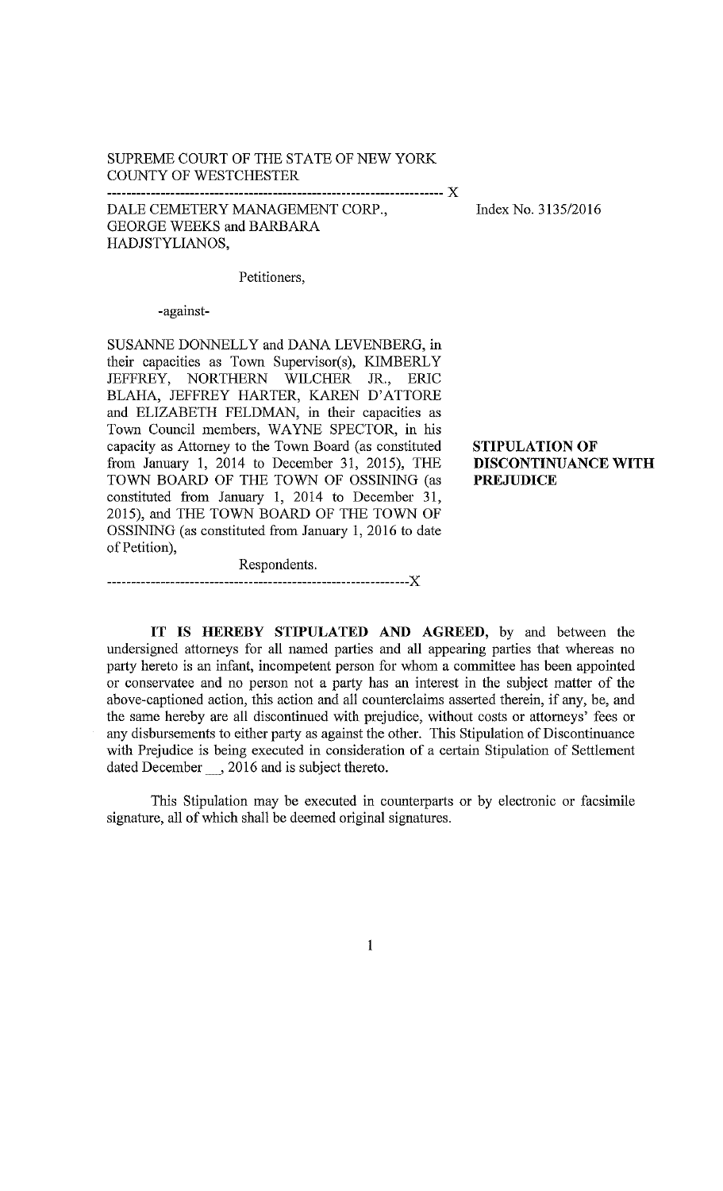# SUPREME COURT OF THE STATE OF NEW YORK COUNTY OF WESTCHESTER

DALE CEMETERY MANAGEMENT CORP., **GEORGE WEEKS and BARBARA** HADJSTYLIANOS,

Index No. 3135/2016

# Petitioners,

-against-

SUSANNE DONNELLY and DANA LEVENBERG, in their capacities as Town Supervisor(s), KIMBERLY JEFFREY, NORTHERN WILCHER JR., ERIC BLAHA, JEFFREY HARTER, KAREN D'ATTORE and ELIZABETH FELDMAN, in their capacities as Town Council members, WAYNE SPECTOR, in his capacity as Attorney to the Town Board (as constituted from January 1, 2014 to December 31, 2015), THE TOWN BOARD OF THE TOWN OF OSSINING (as constituted from January 1, 2014 to December 31, 2015), and THE TOWN BOARD OF THE TOWN OF OSSINING (as constituted from January 1, 2016 to date of Petition),

Respondents.

**STIPULATION OF** DISCONTINUANCE WITH **PREJUDICE** 

IT IS HEREBY STIPULATED AND AGREED, by and between the undersigned attorneys for all named parties and all appearing parties that whereas no party hereto is an infant, incompetent person for whom a committee has been appointed or conservatee and no person not a party has an interest in the subject matter of the above-captioned action, this action and all counterclaims asserted therein, if any, be, and the same hereby are all discontinued with prejudice, without costs or attorneys' fees or any disbursements to either party as against the other. This Stipulation of Discontinuance with Prejudice is being executed in consideration of a certain Stipulation of Settlement dated December \_\_, 2016 and is subject thereto.

This Stipulation may be executed in counterparts or by electronic or facsimile signature, all of which shall be deemed original signatures.

 $\mathbf{1}$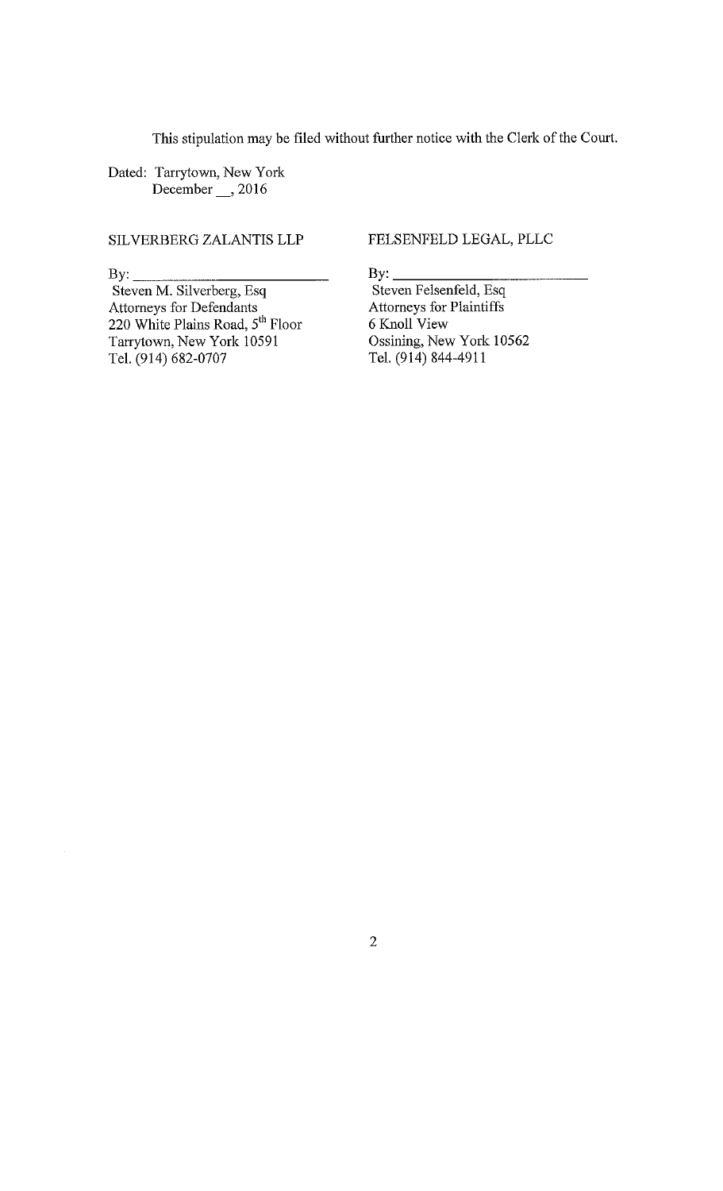This stipulation may be filed without further notice with the Clerk of the Court.

Dated: Tarrytown, New York December \_\_ , 2016

SILVERBERG ZALANTIS LLP

 $By:$ 

Steven M. Silverberg, Esq Attorneys for Defendants 220 White Plains Road,  $5<sup>th</sup>$  Floor Tarrytown, New York 10591 Tel. (914) 682-0707

FELSENFELD LEGAL, PLLC

By:  $\_\_$ Steven Felsenfeld, Esq Attorneys for Plaintiffs 6 Knoll View Ossining, New York 10562 Tel. (914) 844-4911

 $\overline{2}$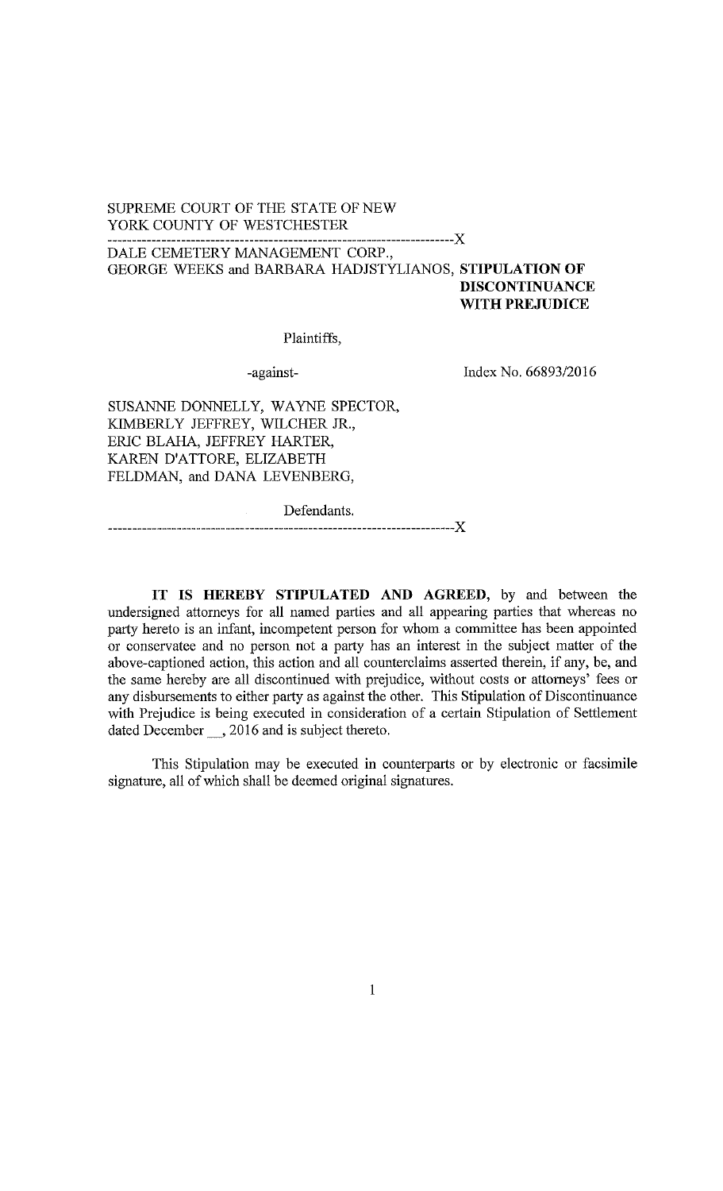# SUPREME COURT OF THE STATE OF NEW YORK COUNTY OF WESTCHESTER

DALE CEMETERY MANAGEMENT CORP., GEORGE WEEKS and BARBARA HADJSTYLIANOS, STIPULATION OF **DISCONTINUANCE** WITH PREJUDICE

-------------X

Plaintiffs,

-against-

Index No. 66893/2016

SUSANNE DONNELLY, WAYNE SPECTOR, KIMBERLY JEFFREY, WILCHER JR., ERIC BLAHA, JEFFREY HARTER, KAREN D'ATTORE, ELIZABETH FELDMAN, and DANA LEVENBERG,

Defendants.

IT IS HEREBY STIPULATED AND AGREED, by and between the undersigned attorneys for all named parties and all appearing parties that whereas no party hereto is an infant, incompetent person for whom a committee has been appointed or conservatee and no person not a party has an interest in the subject matter of the above-captioned action, this action and all counterclaims asserted therein, if any, be, and the same hereby are all discontinued with prejudice, without costs or attorneys' fees or any disbursements to either party as against the other. This Stipulation of Discontinuance with Prejudice is being executed in consideration of a certain Stipulation of Settlement dated December 3016 and is subject thereto.

This Stipulation may be executed in counterparts or by electronic or facsimile signature, all of which shall be deemed original signatures.